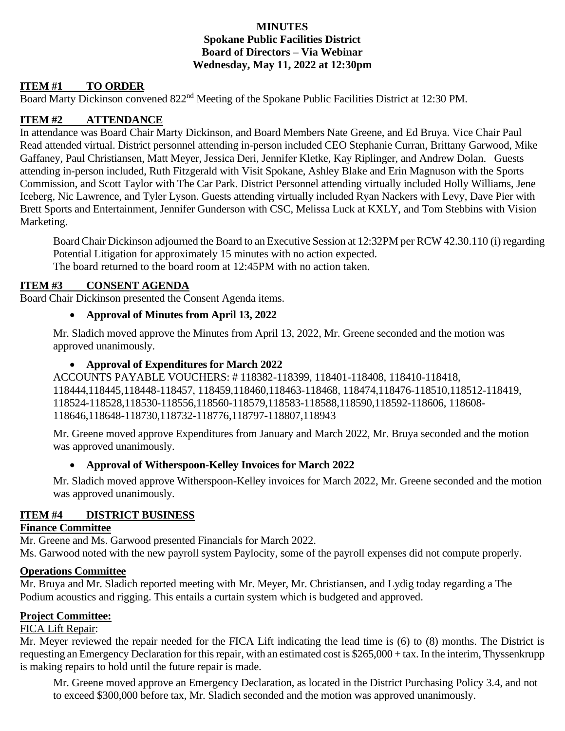## **MINUTES Spokane Public Facilities District Board of Directors – Via Webinar Wednesday, May 11, 2022 at 12:30pm**

# **ITEM #1 TO ORDER**

Board Marty Dickinson convened 822nd Meeting of the Spokane Public Facilities District at 12:30 PM.

## **ITEM #2 ATTENDANCE**

In attendance was Board Chair Marty Dickinson, and Board Members Nate Greene, and Ed Bruya. Vice Chair Paul Read attended virtual. District personnel attending in-person included CEO Stephanie Curran, Brittany Garwood, Mike Gaffaney, Paul Christiansen, Matt Meyer, Jessica Deri, Jennifer Kletke, Kay Riplinger, and Andrew Dolan. Guests attending in-person included, Ruth Fitzgerald with Visit Spokane, Ashley Blake and Erin Magnuson with the Sports Commission, and Scott Taylor with The Car Park. District Personnel attending virtually included Holly Williams, Jene Iceberg, Nic Lawrence, and Tyler Lyson. Guests attending virtually included Ryan Nackers with Levy, Dave Pier with Brett Sports and Entertainment, Jennifer Gunderson with CSC, Melissa Luck at KXLY, and Tom Stebbins with Vision Marketing.

Board Chair Dickinson adjourned the Board to an Executive Session at 12:32PM per RCW 42.30.110 (i) regarding Potential Litigation for approximately 15 minutes with no action expected. The board returned to the board room at 12:45PM with no action taken.

# **ITEM #3 CONSENT AGENDA**

Board Chair Dickinson presented the Consent Agenda items.

#### • **Approval of Minutes from April 13, 2022**

Mr. Sladich moved approve the Minutes from April 13, 2022, Mr. Greene seconded and the motion was approved unanimously.

## • **Approval of Expenditures for March 2022**

ACCOUNTS PAYABLE VOUCHERS: # 118382-118399, 118401-118408, 118410-118418, 118444,118445,118448-118457, 118459,118460,118463-118468, 118474,118476-118510,118512-118419, 118524-118528,118530-118556,118560-118579,118583-118588,118590,118592-118606, 118608- 118646,118648-118730,118732-118776,118797-118807,118943

Mr. Greene moved approve Expenditures from January and March 2022, Mr. Bruya seconded and the motion was approved unanimously.

#### • **Approval of Witherspoon-Kelley Invoices for March 2022**

Mr. Sladich moved approve Witherspoon-Kelley invoices for March 2022, Mr. Greene seconded and the motion was approved unanimously.

# **ITEM #4 DISTRICT BUSINESS**

# **Finance Committee**

Mr. Greene and Ms. Garwood presented Financials for March 2022. Ms. Garwood noted with the new payroll system Paylocity, some of the payroll expenses did not compute properly.

#### **Operations Committee**

Mr. Bruya and Mr. Sladich reported meeting with Mr. Meyer, Mr. Christiansen, and Lydig today regarding a The Podium acoustics and rigging. This entails a curtain system which is budgeted and approved.

#### **Project Committee:**

# FICA Lift Repair:

Mr. Meyer reviewed the repair needed for the FICA Lift indicating the lead time is (6) to (8) months. The District is requesting an Emergency Declaration for this repair, with an estimated cost is \$265,000 + tax. In the interim, Thyssenkrupp is making repairs to hold until the future repair is made.

Mr. Greene moved approve an Emergency Declaration, as located in the District Purchasing Policy 3.4, and not to exceed \$300,000 before tax, Mr. Sladich seconded and the motion was approved unanimously.